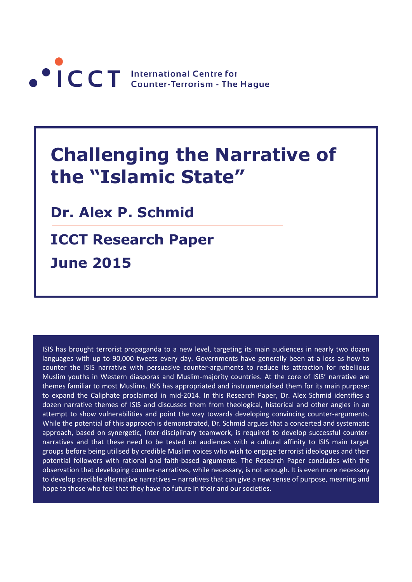

# **Challenging the Narrative of the "Islamic State"**

**Dr. Alex P. Schmid**

**ICCT Research Paper June 2015**

ISIS has brought terrorist propaganda to a new level, targeting its main audiences in nearly two dozen languages with up to 90,000 tweets every day. Governments have generally been at a loss as how to counter the ISIS narrative with persuasive counter-arguments to reduce its attraction for rebellious Muslim youths in Western diasporas and Muslim-majority countries. At the core of ISIS' narrative are themes familiar to most Muslims. ISIS has appropriated and instrumentalised them for its main purpose: to expand the Caliphate proclaimed in mid-2014. In this Research Paper, Dr. Alex Schmid identifies a dozen narrative themes of ISIS and discusses them from theological, historical and other angles in an attempt to show vulnerabilities and point the way towards developing convincing counter-arguments. While the potential of this approach is demonstrated, Dr. Schmid argues that a concerted and systematic approach, based on synergetic, inter-disciplinary teamwork, is required to develop successful counternarratives and that these need to be tested on audiences with a cultural affinity to ISIS main target groups before being utilised by credible Muslim voices who wish to engage terrorist ideologues and their potential followers with rational and faith-based arguments. The Research Paper concludes with the observation that developing counter-narratives, while necessary, is not enough. It is even more necessary to develop credible alternative narratives – narratives that can give a new sense of purpose, meaning and hope to those who feel that they have no future in their and our societies.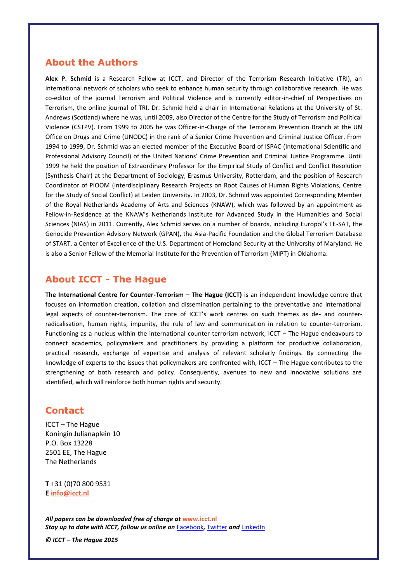# **About the Authors**

**Alex P. Schmid** is a Research Fellow at ICCT, and Director of the Terrorism Research Initiative (TRI), an international network of scholars who seek to enhance human security through collaborative research. He was co-editor of the journal Terrorism and Political Violence and is currently editor-in-chief of Perspectives on Terrorism, the online journal of TRI. Dr. Schmid held a chair in International Relations at the University of St. Andrews (Scotland) where he was, until 2009, also Director of the Centre for the Study of Terrorism and Political Violence (CSTPV). From 1999 to 2005 he was Officer-in-Charge of the Terrorism Prevention Branch at the UN Office on Drugs and Crime (UNODC) in the rank of a Senior Crime Prevention and Criminal Justice Officer. From 1994 to 1999, Dr. Schmid was an elected member of the Executive Board of ISPAC (International Scientific and Professional Advisory Council) of the United Nations' Crime Prevention and Criminal Justice Programme. Until 1999 he held the position of Extraordinary Professor for the Empirical Study of Conflict and Conflict Resolution (Synthesis Chair) at the Department of Sociology, Erasmus University, Rotterdam, and the position of Research Coordinator of PIOOM (Interdisciplinary Research Projects on Root Causes of Human Rights Violations, Centre for the Study of Social Conflict) at Leiden University. In 2003, Dr. Schmid was appointed Corresponding Member of the Royal Netherlands Academy of Arts and Sciences (KNAW), which was followed by an appointment as Fellow-in-Residence at the KNAW's Netherlands Institute for Advanced Study in the Humanities and Social Sciences (NIAS) in 2011. Currently, Alex Schmid serves on a number of boards, including Europol's TE-SAT, the Genocide Prevention Advisory Network (GPAN), the Asia-Pacific Foundation and the Global Terrorism Database of START, a Center of Excellence of the U.S. Department of Homeland Security at the University of Maryland. He is also a Senior Fellow of the Memorial Institute for the Prevention of Terrorism (MIPT) in Oklahoma.

# **About ICCT - The Hague**

**The International Centre for Counter-Terrorism – The Hague (ICCT)** is an independent knowledge centre that focuses on information creation, collation and dissemination pertaining to the preventative and international legal aspects of counter-terrorism. The core of ICCT's work centres on such themes as de- and counterradicalisation, human rights, impunity, the rule of law and communication in relation to counter-terrorism. Functioning as a nucleus within the international counter-terrorism network, ICCT – The Hague endeavours to connect academics, policymakers and practitioners by providing a platform for productive collaboration, practical research, exchange of expertise and analysis of relevant scholarly findings. By connecting the knowledge of experts to the issues that policymakers are confronted with, ICCT – The Hague contributes to the strengthening of both research and policy. Consequently, avenues to new and innovative solutions are identified, which will reinforce both human rights and security.

## **Contact**

ICCT – The Hague Koningin Julianaplein 10 P.O. Box 13228 2501 EE, The Hague The Netherlands

**T** +31 (0)70 800 9531 **E [info@icct.nl](mailto:info@icct.nl)**

*All papers can be downloaded free of charge at* **[www.icct.nl](http://www.icct.nl/)** *Stay up to date with ICCT, follow us online on* [Facebook](https://www.facebook.com/pages/International-Centre-for-Counter-Terrorism-The-Hague/153629044683670?sk=wall)*,* [Twitter](https://twitter.com/ICCT_TheHague) *and* [LinkedIn](http://www.linkedin.com/groups/International-Centre-CounterTerrorism-Hague-4125332?trk=myg_ugrp_ovr)

*© ICCT – The Hague 2015*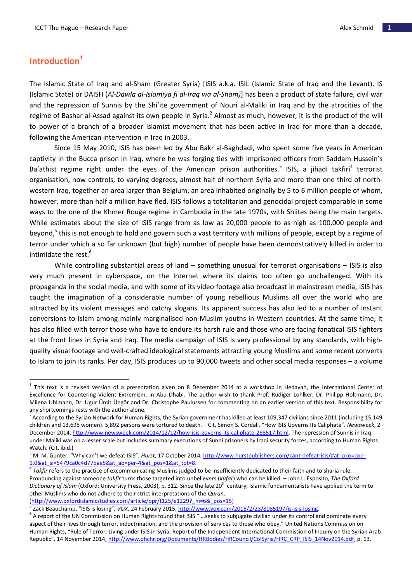# **Introduction<sup>1</sup>**

 $\overline{a}$ 

The Islamic State of Iraq and al-Sham (Greater Syria) [ISIS a.k.a. ISIL (Islamic State of Iraq and the Levant), IS (Islamic State) or DAISH (*Al-Dawla al-Islamiya fi al-Iraq wa al-Sham)*] has been a product of state failure, civil war and the repression of Sunnis by the Shi'ite government of Nouri al-Maliki in Iraq and by the atrocities of the regime of Bashar al-Assad against its own people in Syria.<sup>2</sup> Almost as much, however, it is the product of the will to power of a branch of a broader Islamist movement that has been active in Iraq for more than a decade, following the American intervention in Iraq in 2003.

Since 15 May 2010, ISIS has been led by Abu Bakr al-Baghdadi, who spent some five years in American captivity in the Bucca prison in Iraq, where he was forging ties with imprisoned officers from Saddam Hussein's Ba'athist regime right under the eyes of the American prison authorities.<sup>3</sup> ISIS, a jihadi takfiri<sup>4</sup> terrorist organisation, now controls, to varying degrees, almost half of northern Syria and more than one third of northwestern Iraq, together an area larger than Belgium, an area inhabited originally by 5 to 6 million people of whom, however, more than half a million have fled. ISIS follows a totalitarian and genocidal project comparable in some ways to the one of the Khmer Rouge regime in Cambodia in the late 1970s, with Shiites being the main targets. While estimates about the size of ISIS range from as low as 20,000 people to as high as 100,000 people and beyond,<sup>5</sup> this is not enough to hold and govern such a vast territory with millions of people, except by a regime of terror under which a so far unknown (but high) number of people have been demonstratively killed in order to intimidate the rest.<sup>6</sup>

While controlling substantial areas of land – something unusual for terrorist organisations – ISIS is also very much present in cyberspace, on the Internet where its claims too often go unchallenged. With its propaganda in the social media, and with some of its video footage also broadcast in mainstream media, ISIS has caught the imagination of a considerable number of young rebellious Muslims all over the world who are attracted by its violent messages and catchy slogans. Its apparent success has also led to a number of instant conversions to Islam among mainly marginalised non-Muslim youths in Western countries. At the same time, it has also filled with terror those who have to endure its harsh rule and those who are facing fanatical ISIS fighters at the front lines in Syria and Iraq. The media campaign of ISIS is very professional by any standards, with highquality visual footage and well-crafted ideological statements attracting young Muslims and some recent converts to Islam to join its ranks. Per day, ISIS produces up to 90,000 tweets and other social media responses – a volume

[\(http://www.oxfordislamicstudies.com/article/opr/t125/e1229?\\_hi=6&\\_pos=15\)](http://www.oxfordislamicstudies.com/article/opr/t125/e1229?_hi=6&_pos=15)

 $^1$  This text is a revised version of a presentation given on 8 December 2014 at a workshop in Hedayah, the International Center of Excellence for Countering Violent Extremism, in Abu Dhabi. The author wish to thank Prof. Rüdiger Lohlker, Dr. Philipp Holtmann, Dr. Milena Uhlmann, Dr. Ugur Ümit Üngör and Dr. Christophe Paulussen for commenting on an earlier version of this text. Responsibility for any shortcomings rests with the author alone.

<sup>&</sup>lt;sup>2</sup> According to the Syrian Network for Human Rights, the Syrian government has killed at least 109,347 civilians since 2011 (including 15,149 children and 13,695 women). 5,892 persons were tortured to death. – Cit. Simon S. Cordall. "How ISIS Governs Its Caliphate". *Newsweek*, 2 December 2014, [http://www.newsweek.com/2014/12/12/how-isis-governs-its-caliphate-288517.html.](http://www.newsweek.com/2014/12/12/how-isis-governs-its-caliphate-288517.html) The repression of Sunnis in Iraq under Maliki was on a lesser scale but includes summary executions of Sunni prisoners by Iraqi security forces, according to Human Rights Watch. (Cit. ibid.)

<sup>&</sup>lt;sup>3</sup> M. M. Gunter, "Why can't we defeat ISIS", *Hurst*, 17 October 2014, [http://www.hurstpublishers.com/cant-defeat-isis/#at\\_pco=cod-](http://www.hurstpublishers.com/cant-defeat-isis/#at_pco=cod-1.0&at_si=5479ca0c4d775ae5&at_ab=per-4&at_pos=1&at_tot=8)[1.0&at\\_si=5479ca0c4d775ae5&at\\_ab=per-4&at\\_pos=1&at\\_tot=8.](http://www.hurstpublishers.com/cant-defeat-isis/#at_pco=cod-1.0&at_si=5479ca0c4d775ae5&at_ab=per-4&at_pos=1&at_tot=8)<br><sup>4</sup> Ta*kfir* refers to the practice of excommunicating Muslims judged to be insufficiently dedicated to their faith and to sharia rule.

Pronouncing against someone *takfir* turns those targeted into unbelievers (*kufar*) who can be killed. – John L. Esposito, *The Oxford*  Dictionary of Islam (Oxford: University Press, 2003), p. 312. Since the late 20<sup>th</sup> century, Islamic fundamentalists have applied the term to other Muslims who do not adhere to their strict interpretations of the *Quran*.

<sup>&</sup>lt;sup>5</sup> Zack Beauchamp, "ISIS is losing", *VOX*, 24 February 2015, <u>http://www.vox.com/2015/2/23/8085197/is-isis-losing</u>.

 $^6$  A report of the UN Commission on Human Rights found that ISIS "....seeks to subjugate civilian under its control and dominate every aspect of their lives through terror, indoctrination, and the provision of services to those who obey." United Nations Commission on Human Rights, "Rule of Terror: Living under ISIS in Syria. Report of the Independent International Commission of Inquiry on the Syrian Arab Republic", 14 November 2014, [http://www.ohchr.org/Documents/HRBodies/HRCouncil/CoISyria/HRC\\_CRP\\_ISIS\\_14Nov2014.pdf,](http://www.ohchr.org/Documents/HRBodies/HRCouncil/CoISyria/HRC_CRP_ISIS_14Nov2014.pdf) p. 13.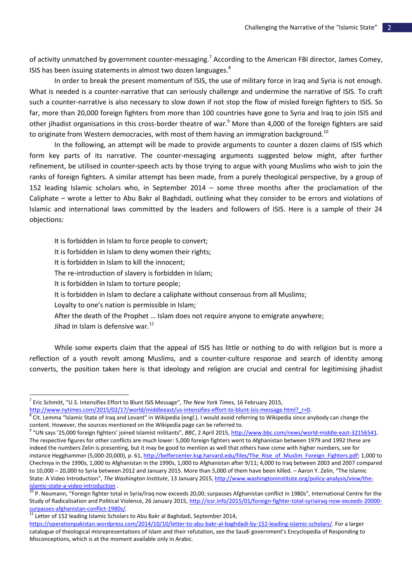of activity unmatched by government counter-messaging.<sup>7</sup> According to the American FBI director, James Comey, ISIS has been issuing statements in almost two dozen languages.<sup>8</sup>

In order to break the present momentum of ISIS, the use of military force in Iraq and Syria is not enough. What is needed is a counter-narrative that can seriously challenge and undermine the narrative of ISIS. To craft such a counter-narrative is also necessary to slow down if not stop the flow of misled foreign fighters to ISIS. So far, more than 20,000 foreign fighters from more than 100 countries have gone to Syria and Iraq to join ISIS and other jihadist organisations in this cross-border theatre of war.<sup>9</sup> More than 4,000 of the foreign fighters are said to originate from Western democracies, with most of them having an immigration background.<sup>10</sup>

In the following, an attempt will be made to provide arguments to counter a dozen claims of ISIS which form key parts of its narrative. The counter-messaging arguments suggested below might, after further refinement, be utilised in counter-speech acts by those trying to argue with young Muslims who wish to join the ranks of foreign fighters. A similar attempt has been made, from a purely theological perspective, by a group of 152 leading Islamic scholars who, in September 2014 – some three months after the proclamation of the Caliphate – wrote a letter to Abu Bakr al Baghdadi, outlining what they consider to be errors and violations of Islamic and international laws committed by the leaders and followers of ISIS. Here is a sample of their 24 objections:

It is forbidden in Islam to force people to convert; It is forbidden in Islam to deny women their rights; It is forbidden in Islam to kill the innocent; The re-introduction of slavery is forbidden in Islam; It is forbidden in Islam to torture people; It is forbidden in Islam to declare a caliphate without consensus from all Muslims; Loyalty to one's nation is permissible in Islam; After the death of the Prophet … Islam does not require anyone to emigrate anywhere; Jihad in Islam is defensive war.<sup>11</sup>

While some experts claim that the appeal of ISIS has little or nothing to do with religion but is more a reflection of a youth revolt among Muslims, and a counter-culture response and search of identity among converts, the position taken here is that ideology and religion are crucial and central for legitimising jihadist

<sup>7</sup> Eric Schmitt, "U.S. Intensifies Effort to Blunt ISIS Message", *The New York Times,* 16 February 2015,

[http://www.nytimes.com/2015/02/17/world/middleeast/us-intensifies-effort-to-blunt-isis-message.html?\\_r=0.](http://www.nytimes.com/2015/02/17/world/middleeast/us-intensifies-effort-to-blunt-isis-message.html?_r=0)

 $^8$  Cit. Lemma "Islamic State of Iraq and Levant" in Wikipedia (engl.). I would avoid referring to Wikipedia since anybody can change the content. However, the sources mentioned on the Wikipedia page can be referred to.

<sup>&</sup>lt;sup>9</sup> "UN says '25,000 foreign fighters' joined Islamist militants", BBC, 2 April 2015, <u>http://www.bbc.com/news/world-middle-east-32156541</u>. The respective figures for other conflicts are much lower: 5,000 foreign fighters went to Afghanistan between 1979 and 1992 these are indeed the numbers Zelin is presenting, but it may be good to mention as well that others have come with higher numbers, see for instance Hegghammer (5,000-20,000), p. 61, [http://belfercenter.ksg.harvard.edu/files/The\\_Rise\\_of\\_Muslim\\_Foreign\\_Fighters.pdf;](http://belfercenter.ksg.harvard.edu/files/The_Rise_of_Muslim_Foreign_Fighters.pdf) 1,000 to Chechnya in the 1990s, 1,000 to Afghanistan in the 1990s, 1,000 to Afghanistan after 9/11; 4,000 to Iraq between 2003 and 2007 compared to 10,000 – 20,000 to Syria between 2012 and January 2015. More than 5,000 of them have been killed. – Aaron Y. Zelin, "The Islamic State: A Video Introduction", *The Washington Institute*, 13 January 2015, [http://www.washingtoninstitute.org/policy-analysis/view/the](http://www.washingtoninstitute.org/policy-analysis/view/the-islamic-state-a-video-introduction)[islamic-state-a-video-introduction](http://www.washingtoninstitute.org/policy-analysis/view/the-islamic-state-a-video-introduction) .

<sup>&</sup>lt;sup>10</sup> P. Neumann, "Foreign fighter total in Syria/Iraq now exceeds 20,00; surpasses Afghanistan conflict in 1980s", International Centre for the Study of Radicalisation and Political Violence, 26 January 2015[, http://icsr.info/2015/01/foreign-fighter-total-syriairaq-now-exceeds-20000](http://icsr.info/2015/01/foreign-fighter-total-syriairaq-now-exceeds-20000-surpasses-afghanistan-conflict-1980s/) [surpasses-afghanistan-conflict-1980s/](http://icsr.info/2015/01/foreign-fighter-total-syriairaq-now-exceeds-20000-surpasses-afghanistan-conflict-1980s/).

 $^{11}$  Letter of 152 leading Islamic Scholars to Abu Bakr al Baghdadi, September 2014,

[https://operationpakistan.wordpress.com/2014/10/10/letter-to-abu-bakr-al-baghdadi-by-152-leading-islamic-scholars/.](https://operationpakistan.wordpress.com/2014/10/10/letter-to-abu-bakr-al-baghdadi-by-152-leading-islamic-scholars/) For a larger catalogue of theological misrepresentations of Islam and their refutation, see the Saudi government's Encyclopedia of Responding to Misconceptions, which is at the moment available only in Arabic.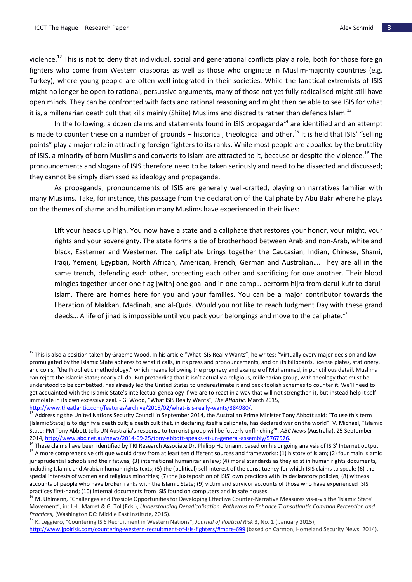$\overline{a}$ 

violence.<sup>12</sup> This is not to deny that individual, social and generational conflicts play a role, both for those foreign fighters who come from Western diasporas as well as those who originate in Muslim-majority countries (e.g. Turkey), where young people are often well-integrated in their societies. While the fanatical extremists of ISIS might no longer be open to rational, persuasive arguments, many of those not yet fully radicalised might still have open minds. They can be confronted with facts and rational reasoning and might then be able to see ISIS for what it is, a millenarian death cult that kills mainly (Shiite) Muslims and discredits rather than defends Islam.<sup>13</sup>

In the following, a dozen claims and statements found in ISIS propaganda<sup>14</sup> are identified and an attempt is made to counter these on a number of grounds – historical, theological and other.<sup>15</sup> It is held that ISIS' "selling points" play a major role in attracting foreign fighters to its ranks. While most people are appalled by the brutality of ISIS, a minority of born Muslims and converts to Islam are attracted to it, because or despite the violence.<sup>16</sup> The pronouncements and slogans of ISIS therefore need to be taken seriously and need to be dissected and discussed; they cannot be simply dismissed as ideology and propaganda.

As propaganda, pronouncements of ISIS are generally well-crafted, playing on narratives familiar with many Muslims. Take, for instance, this passage from the declaration of the Caliphate by Abu Bakr where he plays on the themes of shame and humiliation many Muslims have experienced in their lives:

Lift your heads up high. You now have a state and a caliphate that restores your honor, your might, your rights and your sovereignty. The state forms a tie of brotherhood between Arab and non-Arab, white and black, Easterner and Westerner. The caliphate brings together the Caucasian, Indian, Chinese, Shami, Iraqi, Yemeni, Egyptian, North African, American, French, German and Australian…. They are all in the same trench, defending each other, protecting each other and sacrificing for one another. Their blood mingles together under one flag [with] one goal and in one camp… perform hijra from darul-kufr to darul-Islam. There are homes here for you and your families. You can be a major contributor towards the liberation of Makkah, Madinah, and al-Quds. Would you not like to reach Judgment Day with these grand deeds... A life of jihad is impossible until you pack your belongings and move to the caliphate.<sup>17</sup>

 $12$  This is also a position taken by Graeme Wood. In his article "What ISIS Really Wants", he writes: "Virtually every major decision and law promulgated by the Islamic State adheres to what it calls, in its press and pronouncements, and on its billboards, license plates, stationery, and coins, "the Prophetic methodology," which means following the prophecy and example of Muhammad, in punctilious detail. Muslims can reject the Islamic State; nearly all do. But pretending that it isn't actually a religious, millenarian group, with theology that must be understood to be combatted, has already led the United States to underestimate it and back foolish schemes to counter it. We'll need to get acquainted with the Islamic State's intellectual genealogy if we are to react in a way that will not strengthen it, but instead help it selfimmolate in its own excessive zeal. - G. Wood, "What ISIS Really Wants", *The Atlantic*, March 2015, [http://www.theatlantic.com/features/archive/2015/02/what-isis-really-wants/384980/.](http://www.theatlantic.com/features/archive/2015/02/what-isis-really-wants/384980/)

<sup>13</sup> Addressing the United Nations Security Council in September 2014, the Australian Prime Minister Tony Abbott said: "To use this term [Islamic State] is to dignify a death cult; a death cult that, in declaring itself a caliphate, has declared war on the world". V. Michael, "Islamic State: PM Tony Abbott tells UN Australia's response to terrorist group will be 'utterly unflinching'". *ABC News* (Australia), 25 September

<sup>2014</sup>[, http://www.abc.net.au/news/2014-09-25/tony-abbott-speaks-at-un-general-assembly/5767576.](http://www.abc.net.au/news/2014-09-25/tony-abbott-speaks-at-un-general-assembly/5767576)

<sup>&</sup>lt;sup>14</sup> These claims have been identified by TRI Research Associate Dr. Philipp Holtmann, based on his ongoing analysis of ISIS' Internet output. <sup>15</sup> A more comprehensive critique would draw from at least ten different sources and frameworks: (1) history of Islam; (2) four main Islamic jurisprudential schools and their fatwas; (3) international humanitarian law; (4) moral standards as they exist in human rights documents, including Islamic and Arabian human rights texts; (5) the (political) self-interest of the constituency for which ISIS claims to speak; (6) the special interests of women and religious minorities; (7) the juxtaposition of ISIS' own practices with its declaratory policies; (8) witness accounts of people who have broken ranks with the Islamic State; (9) victim and survivor accounts of those who have experienced ISIS' practices first-hand; (10) internal documents from ISIS found on computers and in safe houses.

<sup>&</sup>lt;sup>16</sup> M. Uhlmann, "Challenges and Possible Opportunities for Developing Effective Counter-Narrative Measures vis-à-vis the 'Islamic State' Movement", in: J.-L. Marret & G. Tol (Eds.), *Understanding Deradicalisation: Pathways to Enhance Transatlantic Common Perception and Practices*, (Washington DC: Middle East Institute, 2015).

<sup>17</sup> K. Leggiero, "Countering ISIS Recruitment in Western Nations", *Journal of Political Risk* 3, No. 1 ( January 2015), <http://www.jpolrisk.com/countering-western-recruitment-of-isis-fighters/#more-699> (based on Carmon, Homeland Security News, 2014).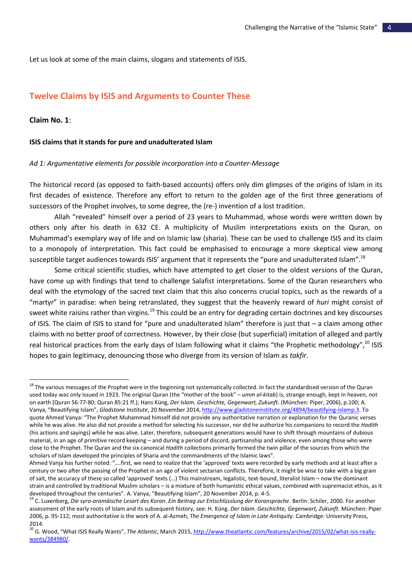Let us look at some of the main claims, slogans and statements of ISIS.

# **Twelve Claims by ISIS and Arguments to Counter These**

## **Claim No. 1**:

 $\overline{a}$ 

#### **ISIS claims that it stands for pure and unadulterated Islam**

#### *Ad 1: Argumentative elements for possible incorporation into a Counter-Message*

The historical record (as opposed to faith-based accounts) offers only dim glimpses of the origins of Islam in its first decades of existence. Therefore any effort to return to the golden age of the first three generations of successors of the Prophet involves, to some degree, the (re-) invention of a lost tradition.

Allah "revealed" himself over a period of 23 years to Muhammad, whose words were written down by others only after his death in 632 CE. A multiplicity of Muslim interpretations exists on the Quran, on Muhammad's exemplary way of life and on Islamic law (sharia). These can be used to challenge ISIS and its claim to a monopoly of interpretation. This fact could be emphasised to encourage a more skeptical view among susceptible target audiences towards ISIS' argument that it represents the "pure and unadulterated Islam".<sup>18</sup>

Some critical scientific studies, which have attempted to get closer to the oldest versions of the Quran, have come up with findings that tend to challenge Salafist interpretations. Some of the Quran researchers who deal with the etymology of the sacred text claim that this also concerns crucial topics, such as the rewards of a "martyr" in paradise: when being retranslated, they suggest that the heavenly reward of *huri* might consist of sweet white raisins rather than virgins.<sup>19</sup> This could be an entry for degrading certain doctrines and key discourses of ISIS. The claim of ISIS to stand for "pure and unadulterated Islam" therefore is just that – a claim among other claims with no better proof of correctness. However, by their close (but superficial) imitation of alleged and partly real historical practices from the early days of Islam following what it claims "the Prophetic methodology",<sup>20</sup> ISIS hopes to gain legitimacy, denouncing those who diverge from its version of Islam as *takfir.*

<sup>&</sup>lt;sup>18</sup> The various messages of the Prophet were in the beginning not systematically collected. In fact the standardised version of the Quran used today was only issued in 1923. The original Quran (the "mother of the book" – *umm al-kitab*) is, strange enough, kept in heaven, not on earth [Quran 56:77-80; Quran 85:21 ff.); Hans Küng, *Der Islam. Geschichte, Gegenwart, Zukunft*. (München: Piper, 2006), p.100; A. Vanya, "Beautifying Islam", *Gladstone Institute*, 20 November 2014[, http://www.gladstoneinstitute.org/4894/beautifying-islamp.3.](http://www.gladstoneinstitute.org/4894/beautifying-islamp.3) To quote Ahmed Vanya: "The Prophet Muhammad himself did not provide any authoritative narration or explanation for the Quranic verses while he was alive. He also did not provide a method for selecting his successor, nor did he authorize his companions to record the *Hadith* (his actions and sayings) while he was alive. Later, therefore, subsequent generations would have to shift through mountains of dubious material, in an age of primitive record keeping – and during a period of discord, partisanship and violence, even among those who were close to the Prophet. The Quran and the six canonical *Hadith* collections primarily formed the twin pillar of the sources from which the scholars of Islam developed the principles of Sharia and the commandments of the Islamic laws".

Ahmed Vanja has further noted: "….first, we need to realize that the 'approved' texts were recorded by early methods and at least after a century or two after the passing of the Prophet in an age of violent sectarian conflicts. Therefore, it might be wise to take with a big grain of salt, the accuracy of these so called 'approved' texts (…) This mainstream, legalistic, text-bound, literalist Islam – now the dominant strain and controlled by traditional Muslim scholars – is a mixture of both humanistic ethical values, combined with supremacist ethos, as it developed throughout the centuries". A. Vanya, "Beautifying Islam", 20 November 2014, p. 4-5.

<sup>&</sup>lt;sup>19</sup> C. Luxenberg, *Die syro-aramäische Lesart des Koran. Ein Beitrag zur Entschlüsslung der Koransprache*. Berlin: Schiler, 2000. For another assessment of the early roots of Islam and its subsequent history, see: H. Küng. *Der Islam. Geschichte, Gegenwart, Zukunft.* München: Piper 2006, p. 95-112; most authoritative is the work of A. al-Azmeh, *The Emergence of Islam in Late Antiquity.* Cambridge: University Press, 2014.

<sup>&</sup>lt;sup>20</sup> G. Wood, "What ISIS Really Wants", *The Atlantic*, March 2015[, http://www.theatlantic.com/features/archive/2015/02/what-isis-really](http://www.theatlantic.com/features/archive/2015/02/what-isis-really-wants/384980/)[wants/384980/.](http://www.theatlantic.com/features/archive/2015/02/what-isis-really-wants/384980/)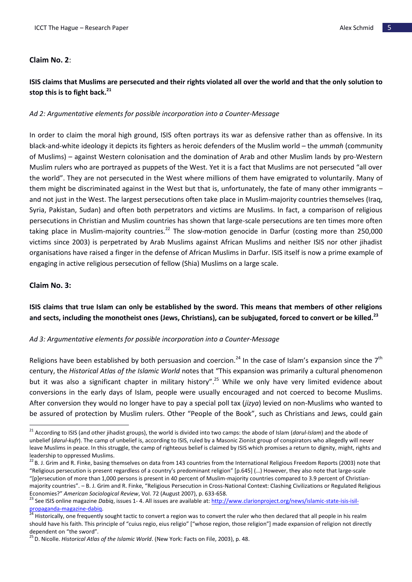## **Claim No. 2**:

# **ISIS claims that Muslims are persecuted and their rights violated all over the world and that the only solution to stop this is to fight back.<sup>21</sup>**

## *Ad 2: Argumentative elements for possible incorporation into a Counter-Message*

In order to claim the moral high ground, ISIS often portrays its war as defensive rather than as offensive. In its black-and-white ideology it depicts its fighters as heroic defenders of the Muslim world – the *ummah* (community of Muslims) – against Western colonisation and the domination of Arab and other Muslim lands by pro-Western Muslim rulers who are portrayed as puppets of the West. Yet it is a fact that Muslims are not persecuted "all over the world". They are not persecuted in the West where millions of them have emigrated to voluntarily. Many of them might be discriminated against in the West but that is, unfortunately, the fate of many other immigrants – and not just in the West. The largest persecutions often take place in Muslim-majority countries themselves (Iraq, Syria, Pakistan, Sudan) and often both perpetrators and victims are Muslims. In fact, a comparison of religious persecutions in Christian and Muslim countries has shown that large-scale persecutions are ten times more often taking place in Muslim-majority countries.<sup>22</sup> The slow-motion genocide in Darfur (costing more than 250,000 victims since 2003) is perpetrated by Arab Muslims against African Muslims and neither ISIS nor other jihadist organisations have raised a finger in the defense of African Muslims in Darfur. ISIS itself is now a prime example of engaging in active religious persecution of fellow (Shia) Muslims on a large scale.

## **Claim No. 3:**

 $\overline{a}$ 

# **ISIS claims that true Islam can only be established by the sword. This means that members of other religions and sects, including the monotheist ones (Jews, Christians), can be subjugated, forced to convert or be killed.<sup>23</sup>**

## *Ad 3: Argumentative elements for possible incorporation into a Counter-Message*

Religions have been established by both persuasion and coercion.<sup>24</sup> In the case of Islam's expansion since the 7<sup>th</sup> century, the *Historical Atlas of the Islamic World* notes that "This expansion was primarily a cultural phenomenon but it was also a significant chapter in military history".<sup>25</sup> While we only have very limited evidence about conversions in the early days of Islam, people were usually encouraged and not coerced to become Muslims. After conversion they would no longer have to pay a special poll tax (*jizya*) levied on non-Muslims who wanted to be assured of protection by Muslim rulers. Other "People of the Book", such as Christians and Jews, could gain

<sup>21</sup> According to ISIS (and other jihadist groups), the world is divided into two camps: the abode of Islam (*darul-Islam*) and the abode of unbelief (*darul-kufr*). The camp of unbelief is, according to ISIS, ruled by a Masonic Zionist group of conspirators who allegedly will never leave Muslims in peace. In this struggle, the camp of righteous belief is claimed by ISIS which promises a return to dignity, might, rights and leadership to oppressed Muslims.

<sup>&</sup>lt;sup>22</sup> B. J. Grim and R. Finke, basing themselves on data from 143 countries from the International Religious Freedom Reports (2003) note that "Religious persecution is present regardless of a country's predominant religion" [p.645] (…) However, they also note that large-scale "[p]ersecution of more than 1,000 persons is present in 40 percent of Muslim-majority countries compared to 3.9 percent of Christianmajority countries". – B. J. Grim and R. Finke, "Religious Persecution in Cross-National Context: Clashing Civilizations or Regulated Religious Economies?" *American Sociological Review*, Vol. 72 (August 2007), p. 633-658.

<sup>&</sup>lt;sup>23</sup> See ISIS online magazine *Dabiq*, issues 1-4. All issues are available at[: http://www.clarionproject.org/news/islamic-state-isis-isil](http://www.clarionproject.org/news/islamic-state-isis-isil-propaganda-magazine-dabiq)[propaganda-magazine-dabiq.](http://www.clarionproject.org/news/islamic-state-isis-isil-propaganda-magazine-dabiq)

<sup>&</sup>lt;sup>1</sup> Historically, one frequently sought tactic to convert a region was to convert the ruler who then declared that all people in his realm should have his faith. This principle of "cuius regio, eius religio" ["whose region, those religion"] made expansion of religion not directly dependent on "the sword".

<sup>&</sup>lt;sup>25</sup> D. Nicolle. *Historical Atlas of the Islamic World*. (New York: Facts on File, 2003), p. 48.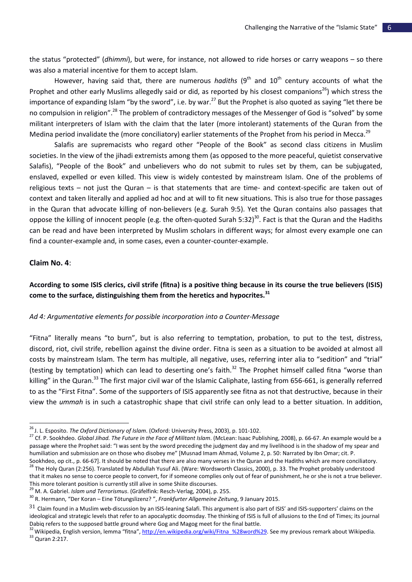the status "protected" (*dhimmi*), but were, for instance, not allowed to ride horses or carry weapons – so there was also a material incentive for them to accept Islam.

However, having said that, there are numerous *hadiths* (9<sup>th</sup> and 10<sup>th</sup> century accounts of what the Prophet and other early Muslims allegedly said or did, as reported by his closest companions<sup>26</sup>) which stress the importance of expanding Islam "by the sword", i.e. by war.<sup>27</sup> But the Prophet is also quoted as saying "let there be no compulsion in religion".<sup>28</sup> The problem of contradictory messages of the Messenger of God is "solved" by some militant interpreters of Islam with the claim that the later (more intolerant) statements of the Quran from the Medina period invalidate the (more conciliatory) earlier statements of the Prophet from his period in Mecca.<sup>29</sup>

Salafis are supremacists who regard other "People of the Book" as second class citizens in Muslim societies. In the view of the jihadi extremists among them (as opposed to the more peaceful, quietist conservative Salafis), "People of the Book" and unbelievers who do not submit to rules set by them, can be subjugated, enslaved, expelled or even killed. This view is widely contested by mainstream Islam. One of the problems of religious texts – not just the Quran – is that statements that are time- and context-specific are taken out of context and taken literally and applied ad hoc and at will to fit new situations. This is also true for those passages in the Quran that advocate killing of non-believers (e.g. Surah 9:5). Yet the Quran contains also passages that oppose the killing of innocent people (e.g. the often-quoted Surah 5:32)<sup>30</sup>. Fact is that the Quran and the Hadiths can be read and have been interpreted by Muslim scholars in different ways; for almost every example one can find a counter-example and, in some cases, even a counter-counter-example.

#### **Claim No. 4**:

l

# **According to some ISIS clerics, civil strife (fitna) is a positive thing because in its course the true believers (ISIS) come to the surface, distinguishing them from the heretics and hypocrites.<sup>31</sup>**

#### *Ad 4: Argumentative elements for possible incorporation into a Counter-Message*

"Fitna" literally means "to burn", but is also referring to temptation, probation, to put to the test, distress, discord, riot, civil strife, rebellion against the divine order. Fitna is seen as a situation to be avoided at almost all costs by mainstream Islam. The term has multiple, all negative, uses, referring inter alia to "sedition" and "trial" (testing by temptation) which can lead to deserting one's faith.<sup>32</sup> The Prophet himself called fitna "worse than killing" in the Quran.<sup>33</sup> The first major civil war of the Islamic Caliphate, lasting from 656-661, is generally referred to as the "First Fitna". Some of the supporters of ISIS apparently see fitna as not that destructive, because in their view the *ummah* is in such a catastrophic shape that civil strife can only lead to a better situation. In addition,

that it makes no sense to coerce people to convert, for if someone complies only out of fear of punishment, he or she is not a true believer. This more tolerant position is currently still alive in some Shiite discourses.

<sup>26</sup> J. L. Esposito. *The Oxford Dictionary of Islam*. (Oxford: University Press, 2003), p. 101-102.

<sup>27</sup> Cf. P. Sookhdeo. *Global Jihad. The Future in the Face of Militant Islam*. (McLean: Isaac Publishing, 2008), p. 66-67. An example would be a passage where the Prophet said: "I was sent by the sword preceding the judgment day and my livelihood is in the shadow of my spear and humiliation and submission are on those who disobey me" [Musnad Imam Ahmad, Volume 2, p. 50: Narrated by Ibn Omar; cit. P. Sookhdeo, op cit., p. 66-67]. It should be noted that there are also many verses in the Quran and the Hadiths which are more conciliatory. <sup>28</sup> The Holy Quran (2:256). Translated by Abdullah Yusuf Ali. (Ware: Wordsworth Classics, 2000), p. 33. The Prophet probably understood

<sup>29</sup> M. A. Gabriel. *Islam und Terrorismus*. (Gräfelfink: Resch-Verlag, 2004), p. 255.

<sup>30</sup> R. Hermann, "Der Koran – Eine Tötungslizenz? ", *Frankfurter Allgemeine Zeitung*, 9 January 2015.

 $31$  Claim found in a Muslim web-discussion by an ISIS-leaning Salafi. This argument is also part of ISIS' and ISIS-supporters' claims on the ideological and strategic levels that refer to an apocalyptic doomsday. The thinking of ISIS is full of allusions to the End of Times; its journal Dabiq refers to the supposed battle ground where Gog and Magog meet for the final battle.

<sup>32</sup> Wikipedia, English version, lemma "fitna", [http://en.wikipedia.org/wiki/Fitna\\_%28word%29.](http://en.wikipedia.org/wiki/Fitna_(word)) See my previous remark about Wikipedia. <sup>33</sup> Quran 2:217.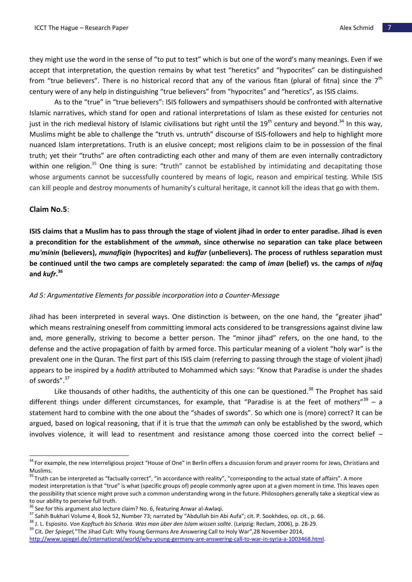they might use the word in the sense of "to put to test" which is but one of the word's many meanings. Even if we accept that interpretation, the question remains by what test "heretics" and "hypocrites" can be distinguished from "true believers". There is no historical record that any of the various fitan (plural of fitna) since the  $7<sup>th</sup>$ century were of any help in distinguishing "true believers" from "hypocrites" and "heretics", as ISIS claims.

As to the "true" in "true believers": ISIS followers and sympathisers should be confronted with alternative Islamic narratives, which stand for open and rational interpretations of Islam as these existed for centuries not just in the rich medieval history of Islamic civilisations but right until the 19<sup>th</sup> century and beyond.<sup>34</sup> In this way, Muslims might be able to challenge the "truth vs. untruth" discourse of ISIS-followers and help to highlight more nuanced Islam interpretations. Truth is an elusive concept; most religions claim to be in possession of the final truth; yet their "truths" are often contradicting each other and many of them are even internally contradictory within one religion.<sup>35</sup> One thing is sure: "truth" cannot be established by intimidating and decapitating those whose arguments cannot be successfully countered by means of logic, reason and empirical testing. While ISIS can kill people and destroy monuments of humanity's cultural heritage, it cannot kill the ideas that go with them.

## **Claim No.5**:

 $\overline{a}$ 

**ISIS claims that a Muslim has to pass through the stage of violent jihad in order to enter paradise. Jihad is even a precondition for the establishment of the** *ummah***, since otherwise no separation can take place between**  *mu'minin* **(believers),** *munafiqin* **(hypocrites) and** *kuffar* **(unbelievers). The process of ruthless separation must be continued until the two camps are completely separated: the camp of** *iman* **(belief) vs. the camps of** *nifaq* **and** *kufr***. 36**

#### *Ad 5: Argumentative Elements for possible incorporation into a Counter-Message*

Jihad has been interpreted in several ways. One distinction is between, on the one hand, the "greater jihad" which means restraining oneself from committing immoral acts considered to be transgressions against divine law and, more generally, striving to become a better person. The "minor jihad" refers, on the one hand, to the defense and the active propagation of faith by armed force. This particular meaning of a violent "holy war" is the prevalent one in the Quran. The first part of this ISIS claim (referring to passing through the stage of violent jihad) appears to be inspired by a *hadith* attributed to Mohammed which says: "Know that Paradise is under the shades of swords".<sup>37</sup>

Like thousands of other hadiths, the authenticity of this one can be questioned.<sup>38</sup> The Prophet has said different things under different circumstances, for example, that "Paradise is at the feet of mothers"<sup>39</sup> - a statement hard to combine with the one about the "shades of swords". So which one is (more) correct? It can be argued, based on logical reasoning, that if it is true that the *ummah* can only be established by the sword, which involves violence, it will lead to resentment and resistance among those coerced into the correct belief –

<sup>&</sup>lt;sup>34</sup> For example, the new interreligious project "House of One" in Berlin offers a discussion forum and prayer rooms for Jews, Christians and Muslims.

<sup>&</sup>lt;sup>35</sup> [Truth can be interpreted as "factually correct", "in accordance with reality", "corresponding to the actual state of affairs"](http://en.wikipedia.org/wiki/Truth). A more modest interpretation is that "true" is what (specific groups of) p[eople commonly agree upon at a given moment in time. This leaves open](http://en.wikipedia.org/wiki/Truth)  [the possibility that science might prove such a common understanding wrong in the future. Philosophers generally take a skeptical view as](http://en.wikipedia.org/wiki/Truth)  [to our ability to perceive full truth.](http://en.wikipedia.org/wiki/Truth)

<sup>&</sup>lt;sup>36</sup> See for this argument also lecture claim? No. 6, featuring Anwar al-Awlaqi.

<sup>&</sup>lt;sup>37</sup> Sahih Bukhari Volume 4, Book 52, Number 73; narrated by "Abdullah bin Abi Aufa"; cit. P. Sookhdeo, op. cit., p. 66.

<sup>38</sup> J. L. Esposito. *Von Kopftuch bis Scharia. Was man über den Islam wissen sollte*. (Leipzig: Reclam, 2006), p. 28-29.

<sup>&</sup>lt;sup>39</sup> Cit. *Der Spiegel*,"The Jihad Cult: Why Young Germans Are Answering Call to Holy War",28 November 2014,

[http://www.spiegel.de/international/world/why-young-germany-are-answering-call-to-war-in-syria-a-1003468.html.](http://www.spiegel.de/international/world/why-young-germany-are-answering-call-to-war-in-syria-a-1003468.html)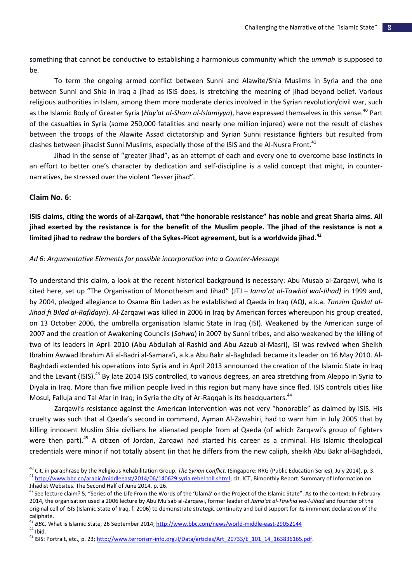something that cannot be conductive to establishing a harmonious community which the *ummah* is supposed to be.

To term the ongoing armed conflict between Sunni and Alawite/Shia Muslims in Syria and the one between Sunni and Shia in Iraq a jihad as ISIS does, is stretching the meaning of jihad beyond belief. Various religious authorities in Islam, among them more moderate clerics involved in the Syrian revolution/civil war, such as the Islamic Body of Greater Syria (*Hay'at al-Sham al-Islamiyya*), have expressed themselves in this sense.<sup>40</sup> Part of the casualties in Syria (some 250,000 fatalities and nearly one million injured) were not the result of clashes between the troops of the Alawite Assad dictatorship and Syrian Sunni resistance fighters but resulted from clashes between jihadist Sunni Muslims, especially those of the ISIS and the Al-Nusra Front.<sup>41</sup>

Jihad in the sense of "greater jihad", as an attempt of each and every one to overcome base instincts in an effort to better one's character by dedication and self-discipline is a valid concept that might, in counternarratives, be stressed over the violent "lesser jihad".

#### **Claim No. 6**:

l

**ISIS claims, citing the words of al-Zarqawi, that "the honorable resistance" has noble and great Sharia aims. All jihad exerted by the resistance is for the benefit of the Muslim people. The jihad of the resistance is not a limited jihad to redraw the borders of the Sykes-Picot agreement, but is a worldwide jihad.<sup>42</sup>**

#### *Ad 6: Argumentative Elements for possible incorporation into a Counter-Message*

To understand this claim, a look at the recent historical background is necessary: Abu Musab al-Zarqawi, who is cited here, set up "The Organisation of Monotheism and Jihad" (JTJ – *Jama'at al-Tawhid wal-Jihad)* in 1999 and, by 2004, pledged allegiance to Osama Bin Laden as he established al Qaeda in Iraq (AQI, a.k.a. *Tanzim Qaidat al-Jihad fi Bilad al-Rafidayn*). Al-Zarqawi was killed in 2006 in Iraq by American forces whereupon his group created, on 13 October 2006, the umbrella organisation Islamic State in Iraq (ISI). Weakened by the American surge of 2007 and the creation of Awakening Councils (*Sahwa*) in 2007 by Sunni tribes, and also weakened by the killing of two of its leaders in April 2010 (Abu Abdullah al-Rashid and Abu Azzub al-Masri), ISI was revived when Sheikh Ibrahim Awwad Ibrahim Ali al-Badri al-Samara'i, a.k.a Abu Bakr al-Baghdadi became its leader on 16 May 2010. Al-Baghdadi extended his operations into Syria and in April 2013 announced the creation of the Islamic State in Iraq and the Levant (ISIS).<sup>43</sup> By late 2014 ISIS controlled, to various degrees, an area stretching from Aleppo in Syria to Diyala in Iraq. More than five million people lived in this region but many have since fled. ISIS controls cities like Mosul, Falluja and Tal Afar in Iraq; in Syria the city of Ar-Raqqah is its headquarters.<sup>44</sup>

Zarqawi's resistance against the American intervention was not very "honorable" as claimed by ISIS. His cruelty was such that al Qaeda's second in command, Ayman Al-Zawahiri, had to warn him in July 2005 that by killing innocent Muslim Shia civilians he alienated people from al Qaeda (of which Zarqawi's group of fighters were then part).<sup>45</sup> A citizen of Jordan, Zarqawi had started his career as a criminal. His Islamic theological credentials were minor if not totally absent (in that he differs from the new caliph, sheikh Abu Bakr al-Baghdadi,

<sup>40</sup> Cit. in paraphrase by the Religious Rehabilitation Group. *The Syrian Conflict*. (Singapore: RRG (Public Education Series), July 2014), p. 3. <sup>41</sup> [http://www.bbc.co/arabic/middleeast/2014/06/140629 syria rebel toll.shtml;](http://www.bbc.co/arabic/middleeast/2014/06/140629%20syria%20rebel%20toll.shtml) cit. ICT, Bimonthly Report. Summary of Information on Jihadist Websites. The Second Half of June 2014, p. 26.

<sup>&</sup>lt;sup>42</sup> See lecture claim? 5, "Series of the Life From the Words of the 'Ulamā' on the Project of the Islamic State". As to the context: In February 2014, the organisation used a 2006 lecture by Abu Mu'sab al-Zarqawi, former leader of *Jama'at al-Tawhid wa-l-Jihad* and founder of the original cell of ISIS (Islamic State of Iraq, f. 2006) to demonstrate strategic continuity and build support for its imminent declaration of the caliphate.

<sup>43</sup> *BBC.* What is Islamic State, 26 September 2014;<http://www.bbc.com/news/world-middle-east-29052144>  $44$  Ibid.

<sup>&</sup>lt;sup>45</sup> ISIS: Portrait, etc., p. 23; [http://www.terrorism-info.org.il/Data/articles/Art\\_20733/E\\_101\\_14\\_163836165.pdf.](http://www.terrorism-info.org.il/Data/articles/Art_20733/E_101_14_163836165.pdf)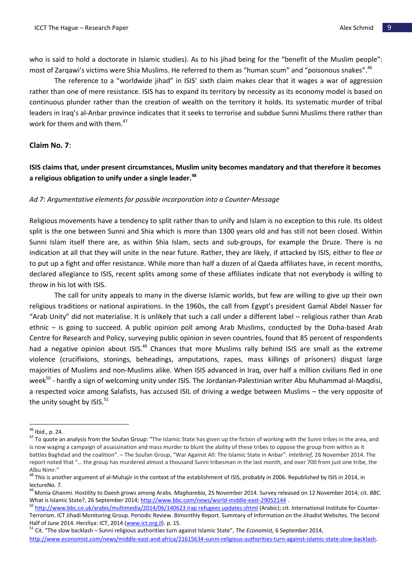who is said to hold a doctorate in Islamic studies). As to his jihad being for the "benefit of the Muslim people": most of Zarqawi's victims were Shia Muslims. He referred to them as "human scum" and "poisonous snakes". <sup>46</sup>

The reference to a "worldwide jihad" in ISIS' sixth claim makes clear that it wages a war of aggression rather than one of mere resistance. ISIS has to expand its territory by necessity as its economy model is based on continuous plunder rather than the creation of wealth on the territory it holds. Its systematic murder of tribal leaders in Iraq's al-Anbar province indicates that it seeks to terrorise and subdue Sunni Muslims there rather than work for them and with them.<sup>47</sup>

## **Claim No. 7**:

# **ISIS claims that, under present circumstances, Muslim unity becomes mandatory and that therefore it becomes a religious obligation to unify under a single leader.<sup>48</sup>**

## *Ad 7: Argumentative elements for possible incorporation into a Counter-Message*

Religious movements have a tendency to split rather than to unify and Islam is no exception to this rule. Its oldest split is the one between Sunni and Shia which is more than 1300 years old and has still not been closed. Within Sunni Islam itself there are, as within Shia Islam, sects and sub-groups, for example the Druze. There is no indication at all that they will unite in the near future. Rather, they are likely, if attacked by ISIS, either to flee or to put up a fight and offer resistance. While more than half a dozen of al Qaeda affiliates have, in recent months, declared allegiance to ISIS, recent splits among some of these affiliates indicate that not everybody is willing to throw in his lot with ISIS.

The call for unity appeals to many in the diverse Islamic worlds, but few are willing to give up their own religious traditions or national aspirations. In the 1960s, the call from Egypt's president Gamal Abdel Nasser for "Arab Unity" did not materialise. It is unlikely that such a call under a different label – religious rather than Arab ethnic – is going to succeed. A public opinion poll among Arab Muslims, conducted by the Doha-based Arab Centre for Research and Policy, surveying public opinion in seven countries, found that 85 percent of respondents had a negative opinion about ISIS.<sup>49</sup> Chances that more Muslims rally behind ISIS are small as the extreme violence (crucifixions, stonings, beheadings, amputations, rapes, mass killings of prisoners) disgust large majorities of Muslims and non-Muslims alike. When ISIS advanced in Iraq, over half a million civilians fled in one week<sup>50</sup> - hardly a sign of welcoming unity under ISIS. The Jordanian-Palestinian writer Abu Muhammad al-Maqdisi, a respected voice among Salafists, has accused ISIL of driving a wedge between Muslims – the very opposite of the unity sought by  $|SIS.51\rangle$ 

<sup>&</sup>lt;sup>46</sup> Ibid., p. 24.

<sup>&</sup>lt;sup>47</sup> To quote an analysis from the Soufan Group: "The Islamic State has given up the fiction of working with the Sunni tribes in the area, and is now waging a campaign of assassination and mass murder to blunt the ability of these tribes to oppose the group from within as it battles Baghdad and the coalition". – The Soufan Group, "War Against All: The Islamic State in Anbar". *Intelbrief,* 26 November 2014. The report noted that "… the group has murdered almost a thousand Sunni tribesman in the last month, and over 700 from just one tribe, the Albu Nimr."

<sup>&</sup>lt;sup>48</sup> This is another argument of al-Muhajir in the context of the establishment of ISIS, probably in 2006. Republished by ISIS in 2014, in lectureNo. 7.

<sup>49</sup>Monia Ghanmi. Hostility to Daesh grows among Arabs. *Magharebia*, 25 November 2014. Survey released on 12 November 2014; cit. *BBC.* What is Islamic State?, 26 September 2014[; http://www.bbc.com/news/world-middle-east-29052144](http://www.bbc.com/news/world-middle-east-29052144) .

<sup>&</sup>lt;sup>50</sup> [http://www.bbc.co.uk/arabic/multimedia/2014/06/140623 irap refugees updates.shtml](http://www.bbc.co.uk/arabic/multimedia/2014/06/140623%20irap%20refugees%20updates.shtml)</u> (Arabic); cit. International Institute for Counter-Terrorism. ICT Jihadi Monitoring Group. Periodic Review. Bimonthly Report. Summary of Information on the Jihadist Websites. The Second Half of June 2014. Herzliya: ICT, 2014 [\(www.ict.org.il\)](http://www.ict.org.il/). p. 15.

<sup>51</sup> Cit. "The slow backlash – Sunni religious authorities turn against Islamic State", *The Economist,* 6 September 2014,

<http://www.economist.com/news/middle-east-and-africa/21615634-sunni-religious-authorities-turn-against-islamic-state-slow-backlash>.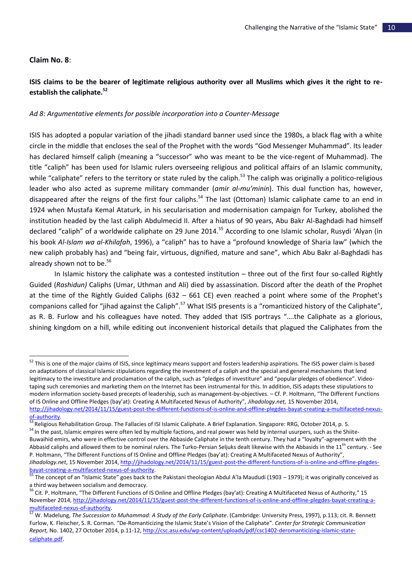## **Claim No. 8**:

 $\overline{a}$ 

## **ISIS claims to be the bearer of legitimate religious authority over all Muslims which gives it the right to reestablish the caliphate.<sup>52</sup>**

### *Ad 8: Argumentative elements for possible incorporation into a Counter-Message*

ISIS has adopted a popular variation of the jihadi standard banner used since the 1980s, a black flag with a white circle in the middle that encloses the seal of the Prophet with the words "God Messenger Muhammad". Its leader has declared himself caliph (meaning a "successor" who was meant to be the vice-regent of Muhammad). The title "caliph" has been used for Islamic rulers overseeing religious and political affairs of an Islamic community, while "caliphate" refers to the territory or state ruled by the caliph.<sup>53</sup> The caliph was originally a politico-religious leader who also acted as supreme military commander (*amir al-mu'minin*). This dual function has, however, disappeared after the reigns of the first four caliphs.<sup>54</sup> The last (Ottoman) Islamic caliphate came to an end in 1924 when Mustafa Kemal Ataturk, in his secularisation and modernisation campaign for Turkey, abolished the institution headed by the last caliph Abdulmecid II. After a hiatus of 90 years, Abu Bakr Al-Baghdadi had himself declared "caliph" of a worldwide caliphate on 29 June 2014.<sup>55</sup> According to one Islamic scholar, Rusydi 'Alyan (in his book *Al-Islam wa al-Khilafah*, 1996), a "caliph" has to have a "profound knowledge of Sharia law" (which the new caliph probably has) and "being fair, virtuous, dignified, mature and sane", which Abu Bakr al-Baghdadi has already shown not to be.<sup>56</sup>

In Islamic history the caliphate was a contested institution – three out of the first four so-called Rightly Guided (*Rashidun)* Caliphs (Umar, Uthman and Ali) died by assassination. Discord after the death of the Prophet at the time of the Rightly Guided Caliphs (632 – 661 CE) even reached a point where some of the Prophet's companions called for "jihad against the Caliph".<sup>57</sup> What ISIS presents is a "romanticized history of the Caliphate", as R. B. Furlow and his colleagues have noted. They added that ISIS portrays "….the Caliphate as a glorious, shining kingdom on a hill, while editing out inconvenient historical details that plagued the Caliphates from the

<sup>&</sup>lt;sup>52</sup> This is one of the major claims of ISIS, since legitimacy means support and fosters leadership aspirations. The ISIS power claim is based on adaptations of classical Islamic stipulations regarding the investment of a caliph and the special and general mechanisms that lend legitimacy to the investiture and proclamation of the caliph, such as "pledges of investiture" and "popular pledges of obedience". Videotaping such ceremonies and marketing them on the Internet has been instrumental for this. In addition, ISIS adapts these stipulations to modern information society-based precepts of leadership, such as management-by-objectives. – Cf. P. Holtmann, "The Different Functions of IS Online and Offline Pledges (bay'at): Creating A Multifaceted Nexus of Authority", *Jihadology.net,* 15 November 2014, [http://jihadology.net/2014/11/15/guest-post-the-different-functions-of-is-online-and-offline-plegdes-bayat-creating-a-multifaceted-nexus](http://jihadology.net/2014/11/15/guest-post-the-different-functions-of-is-online-and-offline-plegdes-bayat-creating-a-multifaceted-nexus-of-authority)[of-authority.](http://jihadology.net/2014/11/15/guest-post-the-different-functions-of-is-online-and-offline-plegdes-bayat-creating-a-multifaceted-nexus-of-authority)

<sup>53</sup> Religious Rehabilitation Group. The Fallacies of ISI Islamic Caliphate. A Brief Explanation. Singapore: RRG, October 2014, p. 5. 54 In the past, Islamic empires were often led by multiple factions, and real power was held by internal usurpers, such as the Shiite-Buwaihid emirs, who were in effective control over the Abbaside Caliphate in the tenth century. They had a "loyalty"-agreement with the Abbasid caliphs and allowed them to be nominal rulers. The Turko-Persian Seljuks dealt likewise with the Abbasids in the 11<sup>th</sup> century. - See P. Holtmann, "The Different Functions of IS Online and Offline Pledges (bay'at): Creating A Multifaceted Nexus of Authority", *Jihadology.net*, 15 November 2014[, http://jihadology.net/2014/11/15/guest-post-the-different-functions-of-is-online-and-offline-plegdes](http://jihadology.net/2014/11/15/guest-post-the-different-functions-of-is-online-and-offline-plegdes-bayat-creating-a-multifaceted-nexus-of-authority)[bayat-creating-a-multifaceted-nexus-of-authority.](http://jihadology.net/2014/11/15/guest-post-the-different-functions-of-is-online-and-offline-plegdes-bayat-creating-a-multifaceted-nexus-of-authority)

<sup>&</sup>lt;sup>55</sup> The concept of an "Islamic State" goes back to the Pakistani theologian Abdul A'la Maududi (1903 – 1979); it was originally conceived as a third way between socialism and democracy.

<sup>&</sup>lt;sup>56</sup> Cit. P. Holtmann, "The Different Functions of IS Online and Offline Pledges (bay'at): Creating A Multifaceted Nexus of Authority," 15 November 2014[, http://jihadology.net/2014/11/15/guest-post-the-different-functions-of-is-online-and-offline-plegdes-bayat-creating-a](http://jihadology.net/2014/11/15/guest-post-the-different-functions-of-is-online-and-offline-plegdes-bayat-creating-a-multifaceted-nexus-of-authority)[multifaceted-nexus-of-authority.](http://jihadology.net/2014/11/15/guest-post-the-different-functions-of-is-online-and-offline-plegdes-bayat-creating-a-multifaceted-nexus-of-authority)

<sup>57</sup> W. Madelung, *The Succession to Muhammad: A Study of the Early Caliphate*. (Cambridge: University Press, 1997), p.113; cit. R. Bennett Furlow, K. Fleischer, S. R. Corman. "De-Romanticizing the Islamic State's Vision of the Caliphate". *Center for Strategic Communication Report,* No. 1402, 27 October 2014, p.11-12[, http://csc.asu.edu/wp-content/uploads/pdf/csc1402-deromanticizing-islamic-state](http://csc.asu.edu/wp-content/uploads/pdf/csc1402-deromanticizing-islamic-state-caliphate.pdf)[caliphate.pdf](http://csc.asu.edu/wp-content/uploads/pdf/csc1402-deromanticizing-islamic-state-caliphate.pdf).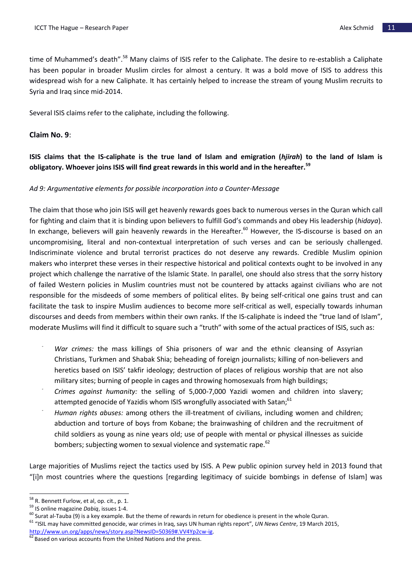time of Muhammed's death".<sup>58</sup> Many claims of ISIS refer to the Caliphate. The desire to re-establish a Caliphate has been popular in broader Muslim circles for almost a century. It was a bold move of ISIS to address this widespread wish for a new Caliphate. It has certainly helped to increase the stream of young Muslim recruits to Syria and Iraq since mid-2014.

Several ISIS claims refer to the caliphate, including the following.

## **Claim No. 9**:

**ISIS claims that the IS-caliphate is the true land of Islam and emigration (***hjirah***) to the land of Islam is obligatory. Whoever joins ISIS will find great rewards in this world and in the hereafter.<sup>59</sup>**

## *Ad 9: Argumentative elements for possible incorporation into a Counter-Message*

The claim that those who join ISIS will get heavenly rewards goes back to numerous verses in the Quran which call for fighting and claim that it is binding upon believers to fulfill God's commands and obey His leadership (*hidaya*). In exchange, believers will gain heavenly rewards in the Hereafter.<sup>60</sup> However, the IS-discourse is based on an uncompromising, literal and non-contextual interpretation of such verses and can be seriously challenged. Indiscriminate violence and brutal terrorist practices do not deserve any rewards. Credible Muslim opinion makers who interpret these verses in their respective historical and political contexts ought to be involved in any project which challenge the narrative of the Islamic State. In parallel, one should also stress that the sorry history of failed Western policies in Muslim countries must not be countered by attacks against civilians who are not responsible for the misdeeds of some members of political elites. By being self-critical one gains trust and can facilitate the task to inspire Muslim audiences to become more self-critical as well, especially towards inhuman discourses and deeds from members within their own ranks. If the IS-caliphate is indeed the "true land of Islam", moderate Muslims will find it difficult to square such a "truth" with some of the actual practices of ISIS, such as:

- *War crimes:* the mass killings of Shia prisoners of war and the ethnic cleansing of Assyrian Christians, Turkmen and Shabak Shia; beheading of foreign journalists; killing of non-believers and heretics based on ISIS' takfir ideology; destruction of places of religious worship that are not also military sites; burning of people in cages and throwing homosexuals from high buildings;
- *- Crimes against humanity:* the selling of 5,000-7,000 Yazidi women and children into slavery; attempted genocide of Yazidis whom ISIS wrongfully associated with Satan;<sup>61</sup>
- *- Human rights abuses:* among others the ill-treatment of civilians, including women and children; abduction and torture of boys from Kobane; the brainwashing of children and the recruitment of child soldiers as young as nine years old; use of people with mental or physical illnesses as suicide bombers; subjecting women to sexual violence and systematic rape.<sup>62</sup>

Large majorities of Muslims reject the tactics used by ISIS. A Pew public opinion survey held in 2013 found that "[i]n most countries where the questions [regarding legitimacy of suicide bombings in defense of Islam] was

 $^{58}$  R. Bennett Furlow, et al, op. cit., p. 1.

<sup>59</sup> IS online magazine *Dabiq*, issues 1-4.

 $^{60}$  Surat al-Tauba (9) is a key example. But the theme of rewards in return for obedience is present in the whole Quran. <sup>61</sup> "ISIL may have committed genocide, war crimes in Iraq, says UN human rights report", *UN News Centre*, 19 March 2015, [http://www.un.org/apps/news/story.asp?NewsID=50369#.VV4Yp2cw-ig.](http://www.un.org/apps/news/story.asp?NewsID=50369#.VV4Yp2cw-ig)

 $62$  Based on various accounts from the United Nations and the press.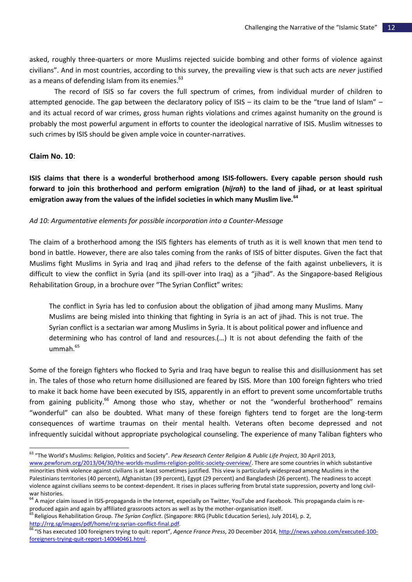asked, roughly three-quarters or more Muslims rejected suicide bombing and other forms of violence against civilians". And in most countries, according to this survey, the prevailing view is that such acts are *never* justified as a means of defending Islam from its enemies.<sup>63</sup>

The record of ISIS so far covers the full spectrum of crimes, from individual murder of children to attempted genocide. The gap between the declaratory policy of ISIS – its claim to be the "true land of Islam" – and its actual record of war crimes, gross human rights violations and crimes against humanity on the ground is probably the most powerful argument in efforts to counter the ideological narrative of ISIS. Muslim witnesses to such crimes by ISIS should be given ample voice in counter-narratives.

## **Claim No. 10**:

 $\overline{a}$ 

**ISIS claims that there is a wonderful brotherhood among ISIS-followers. Every capable person should rush forward to join this brotherhood and perform emigration (***hijrah***) to the land of jihad, or at least spiritual emigration away from the values of the infidel societies in which many Muslim live.<sup>64</sup>**

#### *Ad 10: Argumentative elements for possible incorporation into a Counter-Message*

The claim of a brotherhood among the ISIS fighters has elements of truth as it is well known that men tend to bond in battle. However, there are also tales coming from the ranks of ISIS of bitter disputes. Given the fact that Muslims fight Muslims in Syria and Iraq and jihad refers to the defense of the faith against unbelievers, it is difficult to view the conflict in Syria (and its spill-over into Iraq) as a "jihad". As the Singapore-based Religious Rehabilitation Group, in a brochure over "The Syrian Conflict" writes:

The conflict in Syria has led to confusion about the obligation of jihad among many Muslims. Many Muslims are being misled into thinking that fighting in Syria is an act of jihad. This is not true. The Syrian conflict is a sectarian war among Muslims in Syria. It is about political power and influence and determining who has control of land and resources.(…) It is not about defending the faith of the  $ummah<sup>65</sup>$ 

Some of the foreign fighters who flocked to Syria and Iraq have begun to realise this and disillusionment has set in. The tales of those who return home disillusioned are feared by ISIS. More than 100 foreign fighters who tried to make it back home have been executed by ISIS, apparently in an effort to prevent some uncomfortable truths from gaining publicity.<sup>66</sup> Among those who stay, whether or not the "wonderful brotherhood" remains "wonderful" can also be doubted. What many of these foreign fighters tend to forget are the long-term consequences of wartime traumas on their mental health. Veterans often become depressed and not infrequently suicidal without appropriate psychological counseling. The experience of many Taliban fighters who

<sup>63</sup> "The World's Muslims: Religion, Politics and Society". *Pew Research Center Religion & Public Life Project*, 30 April 2013, [www.pewforum.org/2013/04/30/the-worlds-muslims-religion-politic-society-overview/.](http://www.pewforum.org/2013/04/30/the-worlds-muslims-religion-politic-society-overview/) There are some countries in which substantive minorities think violence against civilians is at least sometimes justified. This view is particularly widespread among Muslims in the Palestinians territories (40 percent), Afghanistan (39 percent), Egypt (29 percent) and Bangladesh (26 percent). The readiness to accept violence against civilians seems to be context-dependent. It rises in places suffering from brutal state suppression, poverty and long civilwar histories.

<sup>&</sup>lt;sup>64</sup> A major claim issued in ISIS-propaganda in the Internet, especially on Twitter, YouTube and Facebook. This propaganda claim is reproduced again and again by affiliated grassroots actors as well as by the mother-organisation itself.

<sup>65</sup> Religious Rehabilitation Group. *The Syrian Conflict*. (Singapore: RRG (Public Education Series), July 2014), p. 2, [http://rrg.sg/images/pdf/home/rrg-syrian-conflict-final.pdf.](http://rrg.sg/images/pdf/home/rrg-syrian-conflict-final.pdf)

<sup>66</sup> "IS has executed 100 foreigners trying to quit: report", *Agence France Press*, 20 December 2014[, http://news.yahoo.com/executed-100](http://news.yahoo.com/executed-100-foreigners-trying-quit-report-140040461.html) [foreigners-trying-quit-report-140040461.html.](http://news.yahoo.com/executed-100-foreigners-trying-quit-report-140040461.html)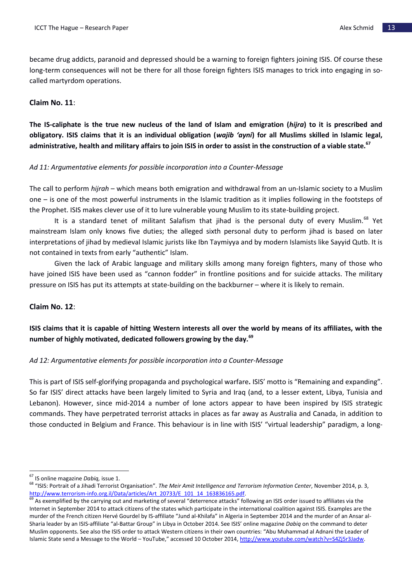became drug addicts, paranoid and depressed should be a warning to foreign fighters joining ISIS. Of course these long-term consequences will not be there for all those foreign fighters ISIS manages to trick into engaging in socalled martyrdom operations.

## **Claim No. 11**:

**The IS-caliphate is the true new nucleus of the land of Islam and emigration (***hijra***) to it is prescribed and obligatory. ISIS claims that it is an individual obligation (***wajib 'ayni***) for all Muslims skilled in Islamic legal, administrative, health and military affairs to join ISIS in order to assist in the construction of a viable state.<sup>67</sup>**

## *Ad 11: Argumentative elements for possible incorporation into a Counter-Message*

The call to perform *hijrah* – which means both emigration and withdrawal from an un-Islamic society to a Muslim one – is one of the most powerful instruments in the Islamic tradition as it implies following in the footsteps of the Prophet. ISIS makes clever use of it to lure vulnerable young Muslim to its state-building project.

It is a standard tenet of militant Salafism that jihad is the personal duty of every Muslim.<sup>68</sup> Yet mainstream Islam only knows five duties; the alleged sixth personal duty to perform jihad is based on later interpretations of jihad by medieval Islamic jurists like Ibn Taymiyya and by modern Islamists like Sayyid Qutb. It is not contained in texts from early "authentic" Islam.

Given the lack of Arabic language and military skills among many foreign fighters, many of those who have joined ISIS have been used as "cannon fodder" in frontline positions and for suicide attacks. The military pressure on ISIS has put its attempts at state-building on the backburner – where it is likely to remain.

## **Claim No. 12**:

# **ISIS claims that it is capable of hitting Western interests all over the world by means of its affiliates, with the number of highly motivated, dedicated followers growing by the day.<sup>69</sup>**

## *Ad 12: Argumentative elements for possible incorporation into a Counter-Message*

This is part of ISIS self-glorifying propaganda and psychological warfare**.** ISIS' motto is "Remaining and expanding". So far ISIS' direct attacks have been largely limited to Syria and Iraq (and, to a lesser extent, Libya, Tunisia and Lebanon). However, since mid-2014 a number of lone actors appear to have been inspired by ISIS strategic commands. They have perpetrated terrorist attacks in places as far away as Australia and Canada, in addition to those conducted in Belgium and France. This behaviour is in line with ISIS' "virtual leadership" paradigm, a long-

<sup>67</sup> IS online magazine *Dabiq,* issue 1.

<sup>68</sup> "ISIS: Portrait of a Jihadi Terrorist Organisation". *The Meir Amit Intelligence and Terrorism Information Center*, November 2014, p. 3, [http://www.terrorism-info.org.il/Data/articles/Art\\_20733/E\\_101\\_14\\_163836165.pdf.](http://www.terrorism-info.org.il/Data/articles/Art_20733/E_101_14_163836165.pdf)

<sup>&</sup>lt;sup>69</sup> As exemplified by the carrying out and marketing of several "deterrence attacks" following an ISIS order issued to affiliates via the Internet in September 2014 to attack citizens of the states which participate in the international coalition against ISIS. Examples are the murder of the French citizen Hervé Gourdel by IS-affiliate "Jund al-Khilafa" in Algeria in September 2014 and the murder of an Ansar al-Sharia leader by an ISIS-affiliate "al-Battar Group" in Libya in October 2014. See ISIS' online magazine *Dabiq* on the command to deter Muslim opponents. See also the ISIS order to attack Western citizens in their own countries: "Abu Muhammad al Adnani the Leader of Islamic State send a Message to the World – YouTube," accessed 10 October 2014, [http://www.youtube.com/watch?v=S4Zj5r3Jadw.](http://www.youtube.com/watch?v=S4Zj5r3Jadw)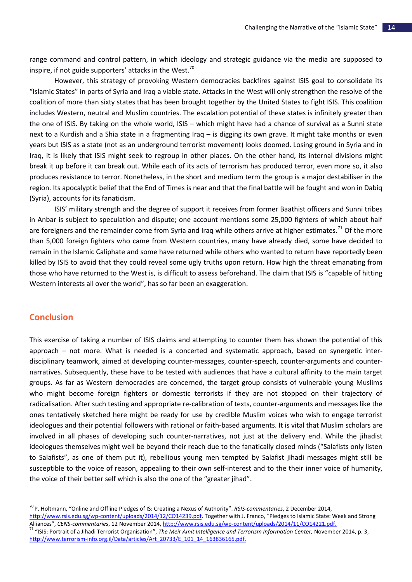range command and control pattern, in which ideology and strategic guidance via the media are supposed to inspire, if not guide supporters' attacks in the West. $70$ 

However, this strategy of provoking Western democracies backfires against ISIS goal to consolidate its "Islamic States" in parts of Syria and Iraq a viable state. Attacks in the West will only strengthen the resolve of the coalition of more than sixty states that has been brought together by the United States to fight ISIS. This coalition includes Western, neutral and Muslim countries. The escalation potential of these states is infinitely greater than the one of ISIS. By taking on the whole world, ISIS – which might have had a chance of survival as a Sunni state next to a Kurdish and a Shia state in a fragmenting Iraq – is digging its own grave. It might take months or even years but ISIS as a state (not as an underground terrorist movement) looks doomed. Losing ground in Syria and in Iraq, it is likely that ISIS might seek to regroup in other places. On the other hand, its internal divisions might break it up before it can break out. While each of its acts of terrorism has produced terror, even more so, it also produces resistance to terror. Nonetheless, in the short and medium term the group is a major destabiliser in the region. Its apocalyptic belief that the End of Times is near and that the final battle will be fought and won in Dabiq (Syria), accounts for its fanaticism.

ISIS' military strength and the degree of support it receives from former Baathist officers and Sunni tribes in Anbar is subject to speculation and dispute; one account mentions some 25,000 fighters of which about half are foreigners and the remainder come from Syria and Iraq while others arrive at higher estimates.<sup>71</sup> Of the more than 5,000 foreign fighters who came from Western countries, many have already died, some have decided to remain in the Islamic Caliphate and some have returned while others who wanted to return have reportedly been killed by ISIS to avoid that they could reveal some ugly truths upon return. How high the threat emanating from those who have returned to the West is, is difficult to assess beforehand. The claim that ISIS is "capable of hitting Western interests all over the world", has so far been an exaggeration.

## **Conclusion**

 $\overline{a}$ 

This exercise of taking a number of ISIS claims and attempting to counter them has shown the potential of this approach – not more. What is needed is a concerted and systematic approach, based on synergetic interdisciplinary teamwork, aimed at developing counter-messages, counter-speech, counter-arguments and counternarratives. Subsequently, these have to be tested with audiences that have a cultural affinity to the main target groups. As far as Western democracies are concerned, the target group consists of vulnerable young Muslims who might become foreign fighters or domestic terrorists if they are not stopped on their trajectory of radicalisation. After such testing and appropriate re-calibration of texts, counter-arguments and messages like the ones tentatively sketched here might be ready for use by credible Muslim voices who wish to engage terrorist ideologues and their potential followers with rational or faith-based arguments. It is vital that Muslim scholars are involved in all phases of developing such counter-narratives, not just at the delivery end. While the jihadist ideologues themselves might well be beyond their reach due to the fanatically closed minds ("Salafists only listen to Salafists", as one of them put it), rebellious young men tempted by Salafist jihadi messages might still be susceptible to the voice of reason, appealing to their own self-interest and to the their inner voice of humanity, the voice of their better self which is also the one of the "greater jihad".

<sup>70</sup> P. Holtmann, "Online and Offline Pledges of IS: Creating a Nexus of Authority". *RSIS-commentaries*, 2 December 2014, [http://www.rsis.edu.sg/wp-content/uploads/2014/12/CO14239.pdf.](http://www.rsis.edu.sg/wp-content/uploads/2014/12/CO14239.pdf) Together with J. Franco, "Pledges to Islamic State: Weak and Strong Alliances", *CENS-commentaries*, 12 November 2014[, http://www.rsis.edu.sg/wp-content/uploads/2014/11/CO14221.pdf.](http://www.rsis.edu.sg/wp-content/uploads/2014/11/CO14221.pdf) 

<sup>71</sup> "ISIS: Portrait of a Jihadi Terrorist Organisation", *The Meir Amit Intelligence and Terrorism Information Center,* November 2014, p. 3, [http://www.terrorism-info.org.il/Data/articles/Art\\_20733/E\\_101\\_14\\_163836165.pdf.](http://www.terrorism-info.org.il/Data/articles/Art_20733/E_101_14_163836165.pdf)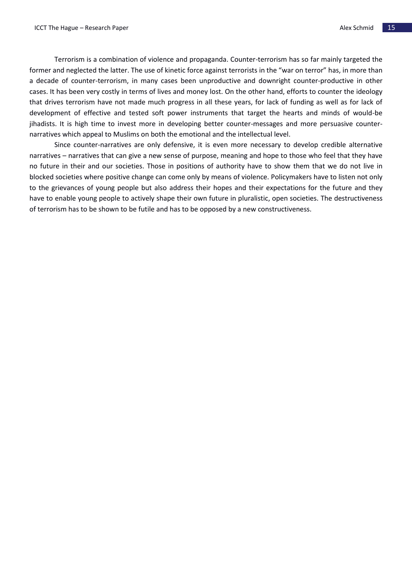Terrorism is a combination of violence and propaganda. Counter-terrorism has so far mainly targeted the former and neglected the latter. The use of kinetic force against terrorists in the "war on terror" has, in more than a decade of counter-terrorism, in many cases been unproductive and downright counter-productive in other cases. It has been very costly in terms of lives and money lost. On the other hand, efforts to counter the ideology that drives terrorism have not made much progress in all these years, for lack of funding as well as for lack of development of effective and tested soft power instruments that target the hearts and minds of would-be jihadists. It is high time to invest more in developing better counter-messages and more persuasive counternarratives which appeal to Muslims on both the emotional and the intellectual level.

Since counter-narratives are only defensive, it is even more necessary to develop credible alternative narratives – narratives that can give a new sense of purpose, meaning and hope to those who feel that they have no future in their and our societies. Those in positions of authority have to show them that we do not live in blocked societies where positive change can come only by means of violence. Policymakers have to listen not only to the grievances of young people but also address their hopes and their expectations for the future and they have to enable young people to actively shape their own future in pluralistic, open societies. The destructiveness of terrorism has to be shown to be futile and has to be opposed by a new constructiveness.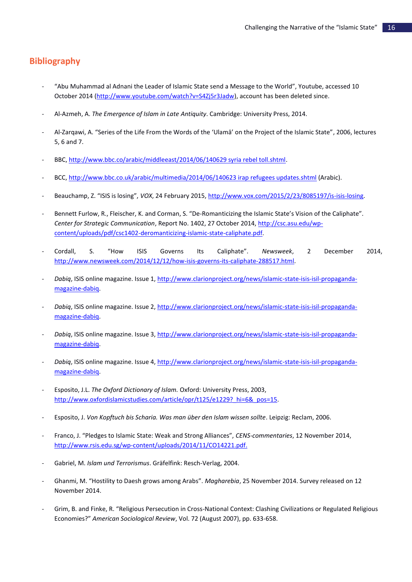# **Bibliography**

- *-* "Abu Muhammad al Adnani the Leader of Islamic State send a Message to the World", Youtube, accessed 10 October 2014 [\(http://www.youtube.com/watch?v=S4Zj5r3Jadw\)](http://www.youtube.com/watch?v=S4Zj5r3Jadw), account has been deleted since.
- *-* Al-Azmeh, A. *The Emergence of Islam in Late Antiquity*. Cambridge: University Press, 2014.
- *-* Al-Zarqawi, A. "Series of the Life From the Words of the 'Ulamā' on the Project of the Islamic State", 2006, lectures 5, 6 and 7.
- *-* BBC[, http://www.bbc.co/arabic/middleeast/2014/06/140629 syria rebel toll.shtml.](http://www.bbc.co/arabic/middleeast/2014/06/140629%20syria%20rebel%20toll.shtml)
- *-* BCC[, http://www.bbc.co.uk/arabic/multimedia/2014/06/140623 irap refugees updates.shtml](http://www.bbc.co.uk/arabic/multimedia/2014/06/140623%20irap%20refugees%20updates.shtml) (Arabic).
- *-* Beauchamp, Z. "ISIS is losing", *VOX*, 24 February 2015, [http://www.vox.com/2015/2/23/8085197/is-isis-losing.](http://www.vox.com/2015/2/23/8085197/is-isis-losing)
- *-* Bennett Furlow, R., Fleischer, K. and Corman, S. "De-Romanticizing the Islamic State's Vision of the Caliphate". *Center for Strategic Communication*, Report No. 1402, 27 October 2014, [http://csc.asu.edu/wp](http://csc.asu.edu/wp-content/uploads/pdf/csc1402-deromanticizing-islamic-state-caliphate.pdf)[content/uploads/pdf/csc1402-deromanticizing-islamic-state-caliphate.pdf.](http://csc.asu.edu/wp-content/uploads/pdf/csc1402-deromanticizing-islamic-state-caliphate.pdf)
- *-* Cordall, S. "How ISIS Governs Its Caliphate". *Newsweek*, 2 December 2014, [http://www.newsweek.com/2014/12/12/how-isis-governs-its-caliphate-288517.html.](http://www.newsweek.com/2014/12/12/how-isis-governs-its-caliphate-288517.html)
- *- Dabiq*, ISIS online magazine. Issue 1, http://www.clarionproject.org/news/islamic-state-isis-isil-propagandamagazine-dabiq.
- *- Dabiq*, ISIS online magazine. Issue 2[, http://www.clarionproject.org/news/islamic-state-isis-isil-propaganda](http://www.clarionproject.org/news/islamic-state-isis-isil-propaganda-magazine-dabiq)[magazine-dabiq.](http://www.clarionproject.org/news/islamic-state-isis-isil-propaganda-magazine-dabiq)
- *- Dabiq*, ISIS online magazine. Issue 3[, http://www.clarionproject.org/news/islamic-state-isis-isil-propaganda](http://www.clarionproject.org/news/islamic-state-isis-isil-propaganda-magazine-dabiq)[magazine-dabiq.](http://www.clarionproject.org/news/islamic-state-isis-isil-propaganda-magazine-dabiq)
- *- Dabiq*, ISIS online magazine. Issue 4[, http://www.clarionproject.org/news/islamic-state-isis-isil-propaganda](http://www.clarionproject.org/news/islamic-state-isis-isil-propaganda-magazine-dabiq)[magazine-dabiq.](http://www.clarionproject.org/news/islamic-state-isis-isil-propaganda-magazine-dabiq)
- *-* Esposito, J.L. *The Oxford Dictionary of Islam.* Oxford: University Press, 2003, http://www.oxfordislamicstudies.com/article/opr/t125/e1229? hi=6& pos=15.
- *-* Esposito, J. *Von Kopftuch bis Scharia. Was man über den Islam wissen sollte*. Leipzig: Reclam, 2006.
- *-* Franco, J. "Pledges to Islamic State: Weak and Strong Alliances", *CENS-commentaries*, 12 November 2014, [http://www.rsis.edu.sg/wp-content/uploads/2014/11/CO14221.pdf.](http://www.rsis.edu.sg/wp-content/uploads/2014/11/CO14221.pdf)
- *-* Gabriel, M. *Islam und Terrorismus*. Gräfelfink: Resch-Verlag, 2004.
- *-* Ghanmi, M. "Hostility to Daesh grows among Arabs". *Magharebia*, 25 November 2014. Survey released on 12 November 2014.
- *-* Grim, B. and Finke, R. "Religious Persecution in Cross-National Context: Clashing Civilizations or Regulated Religious Economies?" *American Sociological Review*, Vol. 72 (August 2007), pp. 633-658.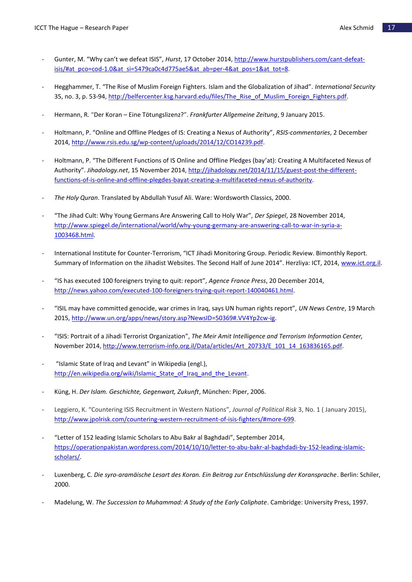- *-* Gunter, M. "Why can't we defeat ISIS", *Hurst*, 17 October 2014[, http://www.hurstpublishers.com/cant-defeat](http://www.hurstpublishers.com/cant-defeat-isis/#at_pco=cod-1.0&at_si=5479ca0c4d775ae5&at_ab=per-4&at_pos=1&at_tot=8)[isis/#at\\_pco=cod-1.0&at\\_si=5479ca0c4d775ae5&at\\_ab=per-4&at\\_pos=1&at\\_tot=8.](http://www.hurstpublishers.com/cant-defeat-isis/#at_pco=cod-1.0&at_si=5479ca0c4d775ae5&at_ab=per-4&at_pos=1&at_tot=8)
- *-* Hegghammer, T. "The Rise of Muslim Foreign Fighters. Islam and the Globalization of Jihad". *International Security*  35, no. 3, p. 53-94[, http://belfercenter.ksg.harvard.edu/files/The\\_Rise\\_of\\_Muslim\\_Foreign\\_Fighters.pdf.](http://belfercenter.ksg.harvard.edu/files/The_Rise_of_Muslim_Foreign_Fighters.pdf)
- *-* Hermann, R. "Der Koran Eine Tötungslizenz?". *Frankfurter Allgemeine Zeitung*, 9 January 2015.
- *-* Holtmann, P. "Online and Offline Pledges of IS: Creating a Nexus of Authority", *RSIS-commentaries*, 2 December 2014[, http://www.rsis.edu.sg/wp-content/uploads/2014/12/CO14239.pdf.](http://www.rsis.edu.sg/wp-content/uploads/2014/12/CO14239.pdf)
- *-* Holtmann, P. "The Different Functions of IS Online and Offline Pledges (bay'at): Creating A Multifaceted Nexus of Authority". *Jihadology.net*, 15 November 2014, [http://jihadology.net/2014/11/15/guest-post-the-different](http://jihadology.net/2014/11/15/guest-post-the-different-functions-of-is-online-and-offline-plegdes-bayat-creating-a-multifaceted-nexus-of-authority)[functions-of-is-online-and-offline-plegdes-bayat-creating-a-multifaceted-nexus-of-authority.](http://jihadology.net/2014/11/15/guest-post-the-different-functions-of-is-online-and-offline-plegdes-bayat-creating-a-multifaceted-nexus-of-authority)
- *- The Holy Quran*. Translated by Abdullah Yusuf Ali. Ware: Wordsworth Classics, 2000.
- *-* "The Jihad Cult: Why Young Germans Are Answering Call to Holy War", *Der Spiegel*, 28 November 2014, [http://www.spiegel.de/international/world/why-young-germany-are-answering-call-to-war-in-syria-a-](http://www.spiegel.de/international/world/why-young-germany-are-answering-call-to-war-in-syria-a-1003468.html)[1003468.html.](http://www.spiegel.de/international/world/why-young-germany-are-answering-call-to-war-in-syria-a-1003468.html)
- *-* International Institute for Counter-Terrorism, "ICT Jihadi Monitoring Group. Periodic Review. Bimonthly Report. Summary of Information on the Jihadist Websites. The Second Half of June 2014". Herzliya: ICT, 2014, [www.ict.org.il.](http://www.ict.org.il/)
- *-* "IS has executed 100 foreigners trying to quit: report", *Agence France Press*, 20 December 2014, [http://news.yahoo.com/executed-100-foreigners-trying-quit-report-140040461.html.](http://news.yahoo.com/executed-100-foreigners-trying-quit-report-140040461.html)
- *-* "ISIL may have committed genocide, war crimes in Iraq, says UN human rights report", *UN News Centre*, 19 March 2015[, http://www.un.org/apps/news/story.asp?NewsID=50369#.VV4Yp2cw-ig.](http://www.un.org/apps/news/story.asp?NewsID=50369#.VV4Yp2cw-ig)
- *-* "ISIS: Portrait of a Jihadi Terrorist Organization", *The Meir Amit Intelligence and Terrorism Information Center,* November 2014, [http://www.terrorism-info.org.il/Data/articles/Art\\_20733/E\\_101\\_14\\_163836165.pdf.](http://www.terrorism-info.org.il/Data/articles/Art_20733/E_101_14_163836165.pdf)
- *-* "Islamic State of Iraq and Levant" in Wikipedia (engl.), http://en.wikipedia.org/wiki/Islamic State of Iraq and the Levant.
- *-* Küng, H. *Der Islam. Geschichte, Gegenwart, Zukunft*, München: Piper, 2006.
- *-* Leggiero, K. "Countering ISIS Recruitment in Western Nations", *Journal of Political Risk* 3, No. 1 ( January 2015), [http://www.jpolrisk.com/countering-western-recruitment-of-isis-fighters/#more-699.](http://www.jpolrisk.com/countering-western-recruitment-of-isis-fighters/#more-699)
- *-* "Letter of 152 leading Islamic Scholars to Abu Bakr al Baghdadi", September 2014, [https://operationpakistan.wordpress.com/2014/10/10/letter-to-abu-bakr-al-baghdadi-by-152-leading-islamic](https://operationpakistan.wordpress.com/2014/10/10/letter-to-abu-bakr-al-baghdadi-by-152-leading-islamic-scholars/)[scholars/.](https://operationpakistan.wordpress.com/2014/10/10/letter-to-abu-bakr-al-baghdadi-by-152-leading-islamic-scholars/)
- *-* Luxenberg, C. *Die syro-aramäische Lesart des Koran. Ein Beitrag zur Entschlüsslung der Koransprache*. Berlin: Schiler, 2000.
- *-* Madelung, W. *The Succession to Muhammad: A Study of the Early Caliphate*. Cambridge: University Press, 1997.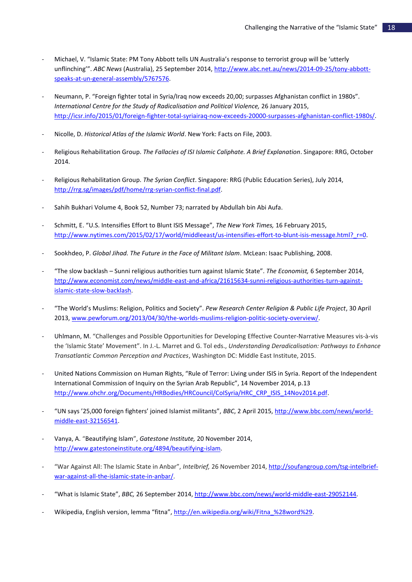- *-* Michael, V. "Islamic State: PM Tony Abbott tells UN Australia's response to terrorist group will be 'utterly unflinching'". *ABC News* (Australia), 25 September 2014[, http://www.abc.net.au/news/2014-09-25/tony-abbott](http://www.abc.net.au/news/2014-09-25/tony-abbott-speaks-at-un-general-assembly/5767576)[speaks-at-un-general-assembly/5767576.](http://www.abc.net.au/news/2014-09-25/tony-abbott-speaks-at-un-general-assembly/5767576)
- *-* Neumann, P. "Foreign fighter total in Syria/Iraq now exceeds 20,00; surpasses Afghanistan conflict in 1980s". *International Centre for the Study of Radicalisation and Political Violence, 26 January 2015,* [http://icsr.info/2015/01/foreign-fighter-total-syriairaq-now-exceeds-20000-surpasses-afghanistan-conflict-1980s/.](http://icsr.info/2015/01/foreign-fighter-total-syriairaq-now-exceeds-20000-surpasses-afghanistan-conflict-1980s/)
- *-* Nicolle, D. *Historical Atlas of the Islamic World*. New York: Facts on File, 2003.
- *-* Religious Rehabilitation Group. *The Fallacies of ISI Islamic Caliphate. A Brief Explanation*. Singapore: RRG, October 2014.
- *-* Religious Rehabilitation Group. *The Syrian Conflict*. Singapore: RRG (Public Education Series), July 2014, [http://rrg.sg/images/pdf/home/rrg-syrian-conflict-final.pdf.](http://rrg.sg/images/pdf/home/rrg-syrian-conflict-final.pdf)
- *-* Sahih Bukhari Volume 4, Book 52, Number 73; narrated by Abdullah bin Abi Aufa.
- *-* Schmitt, E. "U.S. Intensifies Effort to Blunt ISIS Message", *The New York Times,* 16 February 2015, [http://www.nytimes.com/2015/02/17/world/middleeast/us-intensifies-effort-to-blunt-isis-message.html?\\_r=0.](http://www.nytimes.com/2015/02/17/world/middleeast/us-intensifies-effort-to-blunt-isis-message.html?_r=0)
- *-* Sookhdeo, P. *Global Jihad. The Future in the Face of Militant Islam*. McLean: Isaac Publishing, 2008.
- *-* "The slow backlash Sunni religious authorities turn against Islamic State". *The Economist,* 6 September 2014, [http://www.economist.com/news/middle-east-and-africa/21615634-sunni-religious-authorities-turn-against](http://www.economist.com/news/middle-east-and-africa/21615634-sunni-religious-authorities-turn-against-islamic-state-slow-backlash)[islamic-state-slow-backlash.](http://www.economist.com/news/middle-east-and-africa/21615634-sunni-religious-authorities-turn-against-islamic-state-slow-backlash)
- *-* "The World's Muslims: Religion, Politics and Society". *Pew Research Center Religion & Public Life Project*, 30 April 2013[, www.pewforum.org/2013/04/30/the-worlds-muslims-religion-politic-society-overview/.](http://www.pewforum.org/2013/04/30/the-worlds-muslims-religion-politic-society-overview/)
- *-* Uhlmann, M. "Challenges and Possible Opportunities for Developing Effective Counter-Narrative Measures vis-à-vis the 'Islamic State' Movement". In J.-L. Marret and G. Tol eds., *Understanding Deradicalisation: Pathways to Enhance Transatlantic Common Perception and Practices*, Washington DC: Middle East Institute, 2015.
- *-* United Nations Commission on Human Rights, "Rule of Terror: Living under ISIS in Syria. Report of the Independent International Commission of Inquiry on the Syrian Arab Republic", 14 November 2014, p.13 [http://www.ohchr.org/Documents/HRBodies/HRCouncil/CoISyria/HRC\\_CRP\\_ISIS\\_14Nov2014.pdf.](http://www.ohchr.org/Documents/HRBodies/HRCouncil/CoISyria/HRC_CRP_ISIS_14Nov2014.pdf)
- *-* "UN says '25,000 foreign fighters' joined Islamist militants", *BBC*, 2 April 2015, [http://www.bbc.com/news/world](http://www.bbc.com/news/world-middle-east-32156541)[middle-east-32156541.](http://www.bbc.com/news/world-middle-east-32156541)
- *-* Vanya, A. "Beautifying Islam", *Gatestone Institute,* 20 November 2014, [http://www.gatestoneinstitute.org/4894/beautifying-islam.](http://www.gatestoneinstitute.org/4894/beautifying-islam)
- *-* "War Against All: The Islamic State in Anbar", *Intelbrief,* 26 November 2014[, http://soufangroup.com/tsg-intelbrief](http://soufangroup.com/tsg-intelbrief-war-against-all-the-islamic-state-in-anbar/)[war-against-all-the-islamic-state-in-anbar/.](http://soufangroup.com/tsg-intelbrief-war-against-all-the-islamic-state-in-anbar/)
- *-* "What is Islamic State", *BBC,* 26 September 2014[, http://www.bbc.com/news/world-middle-east-29052144.](http://www.bbc.com/news/world-middle-east-29052144)
- *-* Wikipedia, English version, lemma "fitna", [http://en.wikipedia.org/wiki/Fitna\\_%28word%29.](http://en.wikipedia.org/wiki/Fitna_(word))